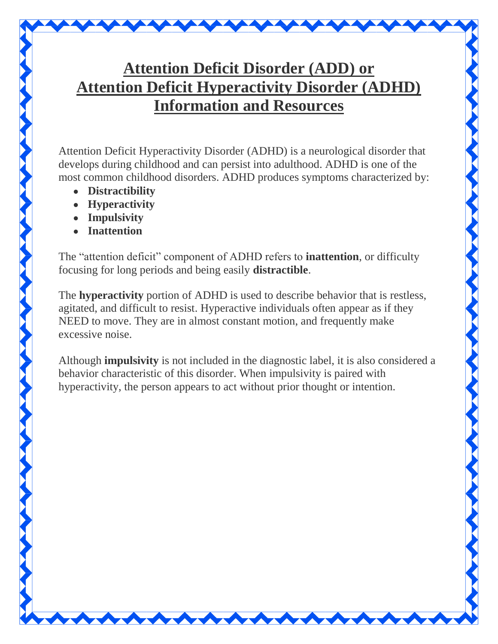## **Attention Deficit Disorder (ADD) or Attention Deficit Hyperactivity Disorder (ADHD) Information and Resources**

Attention Deficit Hyperactivity Disorder (ADHD) is a neurological disorder that develops during childhood and can persist into adulthood. ADHD is one of the most common childhood disorders. ADHD produces symptoms characterized by:

- **Distractibility**
- **Hyperactivity**
- **Impulsivity**
- **Inattention**

The "attention deficit" component of ADHD refers to **inattention**, or difficulty focusing for long periods and being easily **distractible**.

The **hyperactivity** portion of ADHD is used to describe behavior that is restless, agitated, and difficult to resist. Hyperactive individuals often appear as if they NEED to move. They are in almost constant motion, and frequently make excessive noise.

Although **impulsivity** is not included in the diagnostic label, it is also considered a behavior characteristic of this disorder. When impulsivity is paired with hyperactivity, the person appears to act without prior thought or intention.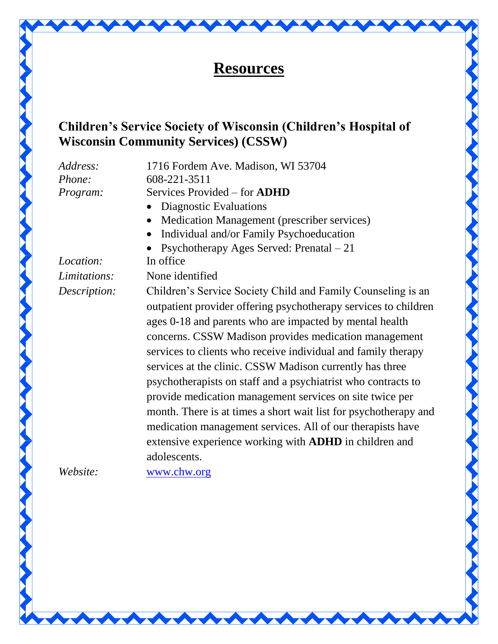

## **Children's Service Society of Wisconsin (Children's Hospital of Wisconsin Community Services) (CSSW)**

*Address:* 1716 Fordem Ave. Madison, WI 53704 *Phone:* 608-221-3511 *Program:* Services Provided – for **ADHD**

- Diagnostic Evaluations
- Medication Management (prescriber services)
- Individual and/or Family Psychoeducation

• Psychotherapy Ages Served: Prenatal – 21

*Location:* In office *Limitations:* None identified

*Description:* Children's Service Society Child and Family Counseling is an outpatient provider offering psychotherapy services to children ages 0-18 and parents who are impacted by mental health concerns. CSSW Madison provides medication management services to clients who receive individual and family therapy services at the clinic. CSSW Madison currently has three psychotherapists on staff and a psychiatrist who contracts to provide medication management services on site twice per month. There is at times a short wait list for psychotherapy and medication management services. All of our therapists have extensive experience working with **ADHD** in children and adolescents.

*Website:* [www.chw.org](http://www.chw.org/)